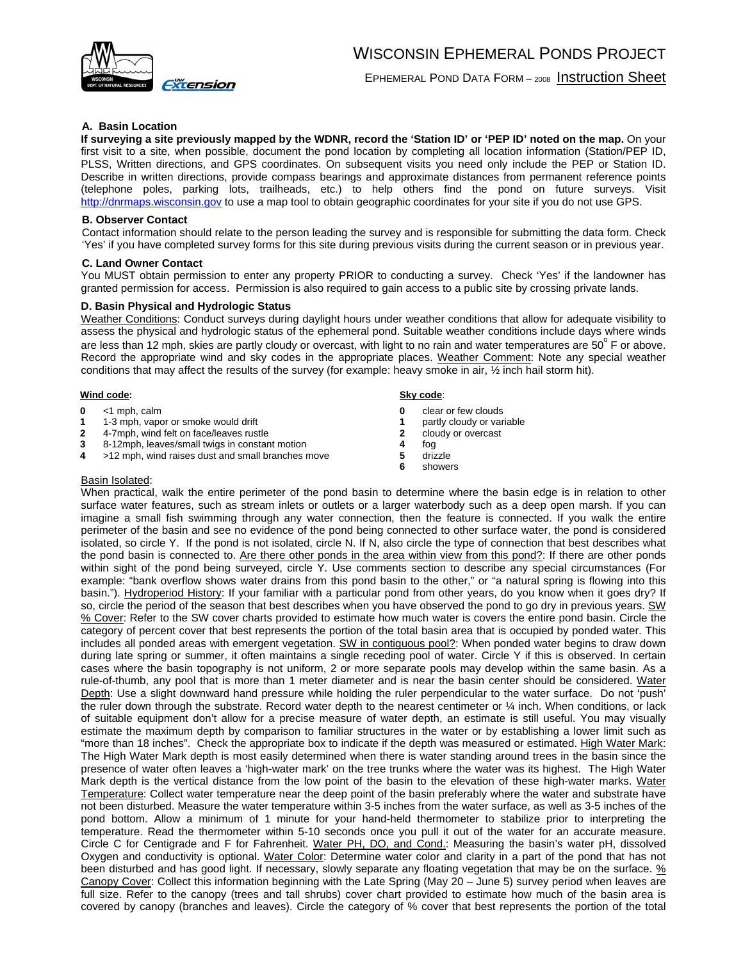

EPHEMERAL POND DATA FORM – 2008 Instruction Sheet

# **A. Basin Location**

**If surveying a site previously mapped by the WDNR, record the 'Station ID' or 'PEP ID' noted on the map.** On your first visit to a site, when possible, document the pond location by completing all location information (Station/PEP ID, PLSS, Written directions, and GPS coordinates. On subsequent visits you need only include the PEP or Station ID. Describe in written directions, provide compass bearings and approximate distances from permanent reference points (telephone poles, parking lots, trailheads, etc.) to help others find the pond on future surveys. Visit http://dnrmaps.wisconsin.gov to use a map tool to obtain geographic coordinates for your site if you do not use GPS.

## **B. Observer Contact**

Contact information should relate to the person leading the survey and is responsible for submitting the data form. Check 'Yes' if you have completed survey forms for this site during previous visits during the current season or in previous year.

## **C. Land Owner Contact**

You MUST obtain permission to enter any property PRIOR to conducting a survey. Check 'Yes' if the landowner has granted permission for access. Permission is also required to gain access to a public site by crossing private lands.

## **D. Basin Physical and Hydrologic Status**

Weather Conditions: Conduct surveys during daylight hours under weather conditions that allow for adequate visibility to assess the physical and hydrologic status of the ephemeral pond. Suitable weather conditions include days where winds are less than 12 mph, skies are partly cloudy or overcast, with light to no rain and water temperatures are 50 $^{\circ}$  F or above. Record the appropriate wind and sky codes in the appropriate places. Weather Comment: Note any special weather conditions that may affect the results of the survey (for example: heavy smoke in air, ½ inch hail storm hit).

# **Wind code:**

- **0** <1 mph, calm
- **1** 1-3 mph, vapor or smoke would drift<br>**2** 4-7mph, wind felt on face/leaves rust
- **2** 4-7mph, wind felt on face/leaves rustle
- **3** 8-12mph, leaves/small twigs in constant motion
- **4** >12 mph, wind raises dust and small branches move

#### **Sky code**:

- **0** clear or few clouds
- **1** partly cloudy or variable<br>**2** cloudy or overcast
- **2** cloudy or overcast
- **4** fog
- **5** drizzle
- **6** showers

# Basin Isolated:

When practical, walk the entire perimeter of the pond basin to determine where the basin edge is in relation to other surface water features, such as stream inlets or outlets or a larger waterbody such as a deep open marsh. If you can imagine a small fish swimming through any water connection, then the feature is connected. If you walk the entire perimeter of the basin and see no evidence of the pond being connected to other surface water, the pond is considered isolated, so circle Y. If the pond is not isolated, circle N. If N, also circle the type of connection that best describes what the pond basin is connected to. Are there other ponds in the area within view from this pond?: If there are other ponds within sight of the pond being surveyed, circle Y. Use comments section to describe any special circumstances (For example: "bank overflow shows water drains from this pond basin to the other," or "a natural spring is flowing into this basin."). Hydroperiod History: If your familiar with a particular pond from other years, do you know when it goes dry? If so, circle the period of the season that best describes when you have observed the pond to go dry in previous years. SW % Cover: Refer to the SW cover charts provided to estimate how much water is covers the entire pond basin. Circle the category of percent cover that best represents the portion of the total basin area that is occupied by ponded water. This includes all ponded areas with emergent vegetation. SW in contiguous pool?: When ponded water begins to draw down during late spring or summer, it often maintains a single receding pool of water. Circle Y if this is observed. In certain cases where the basin topography is not uniform, 2 or more separate pools may develop within the same basin. As a rule-of-thumb, any pool that is more than 1 meter diameter and is near the basin center should be considered. Water Depth: Use a slight downward hand pressure while holding the ruler perpendicular to the water surface. Do not 'push' the ruler down through the substrate. Record water depth to the nearest centimeter or  $\frac{1}{4}$  inch. When conditions, or lack of suitable equipment don't allow for a precise measure of water depth, an estimate is still useful. You may visually estimate the maximum depth by comparison to familiar structures in the water or by establishing a lower limit such as "more than 18 inches". Check the appropriate box to indicate if the depth was measured or estimated. High Water Mark: The High Water Mark depth is most easily determined when there is water standing around trees in the basin since the presence of water often leaves a 'high-water mark' on the tree trunks where the water was its highest. The High Water Mark depth is the vertical distance from the low point of the basin to the elevation of these high-water marks. Water Temperature: Collect water temperature near the deep point of the basin preferably where the water and substrate have not been disturbed. Measure the water temperature within 3-5 inches from the water surface, as well as 3-5 inches of the pond bottom. Allow a minimum of 1 minute for your hand-held thermometer to stabilize prior to interpreting the temperature. Read the thermometer within 5-10 seconds once you pull it out of the water for an accurate measure. Circle C for Centigrade and F for Fahrenheit. Water PH, DO, and Cond.: Measuring the basin's water pH, dissolved Oxygen and conductivity is optional. Water Color: Determine water color and clarity in a part of the pond that has not been disturbed and has good light. If necessary, slowly separate any floating vegetation that may be on the surface. % Canopy Cover: Collect this information beginning with the Late Spring (May 20 – June 5) survey period when leaves are full size. Refer to the canopy (trees and tall shrubs) cover chart provided to estimate how much of the basin area is covered by canopy (branches and leaves). Circle the category of % cover that best represents the portion of the total